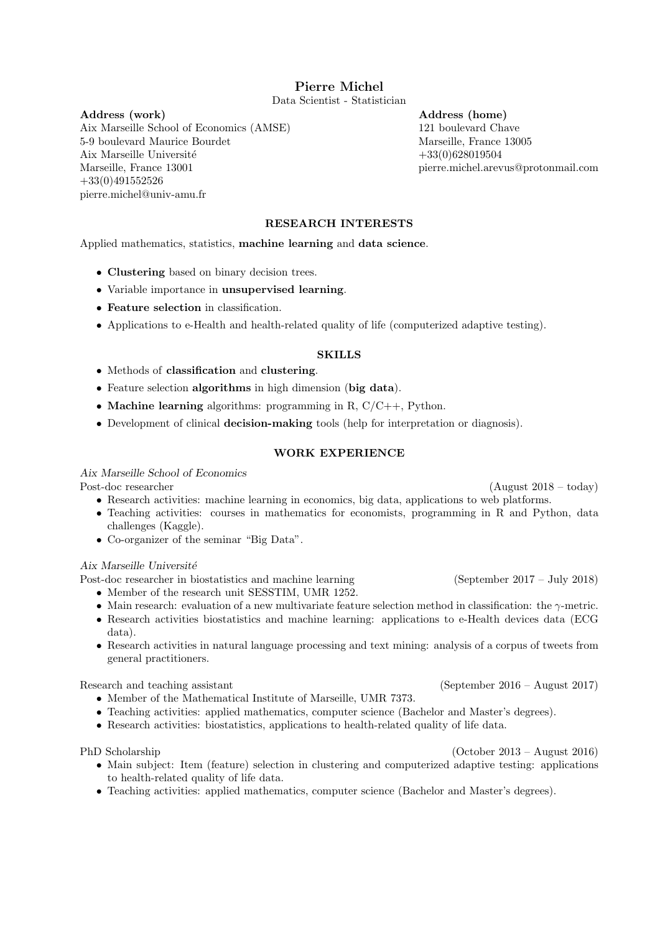# Pierre Michel

Data Scientist - Statistician

Address (work) Aix Marseille School of Economics (AMSE) 5-9 boulevard Maurice Bourdet Aix Marseille Université Marseille, France 13001 +33(0)491552526 pierre.michel@univ-amu.fr

Address (home) 121 boulevard Chave Marseille, France 13005 +33(0)628019504 pierre.michel.arevus@protonmail.com

# RESEARCH INTERESTS

Applied mathematics, statistics, machine learning and data science.

- Clustering based on binary decision trees.
- Variable importance in unsupervised learning.
- Feature selection in classification.
- Applications to e-Health and health-related quality of life (computerized adaptive testing).

#### SKILLS

- Methods of classification and clustering.
- Feature selection **algorithms** in high dimension (big data).
- Machine learning algorithms: programming in R,  $C/C++$ , Python.
- Development of clinical decision-making tools (help for interpretation or diagnosis).

#### WORK EXPERIENCE

### Aix Marseille School of Economics

- Research activities: machine learning in economics, big data, applications to web platforms.
- Teaching activities: courses in mathematics for economists, programming in R and Python, data challenges (Kaggle).
- Co-organizer of the seminar "Big Data".

Aix Marseille Université

Post-doc researcher in biostatistics and machine learning (September 2017 – July 2018)

- Member of the research unit SESSTIM, UMR 1252.
- Main research: evaluation of a new multivariate feature selection method in classification: the  $\gamma$ -metric.
- Research activities biostatistics and machine learning: applications to e-Health devices data (ECG data).
- Research activities in natural language processing and text mining: analysis of a corpus of tweets from general practitioners.

Research and teaching assistant (September 2016 – August 2017)

- Member of the Mathematical Institute of Marseille, UMR 7373.
- Teaching activities: applied mathematics, computer science (Bachelor and Master's degrees).
- Research activities: biostatistics, applications to health-related quality of life data.

PhD Scholarship (October 2013 – August 2016)

- Main subject: Item (feature) selection in clustering and computerized adaptive testing: applications to health-related quality of life data.
- Teaching activities: applied mathematics, computer science (Bachelor and Master's degrees).

Post-doc researcher (August 2018 – today)